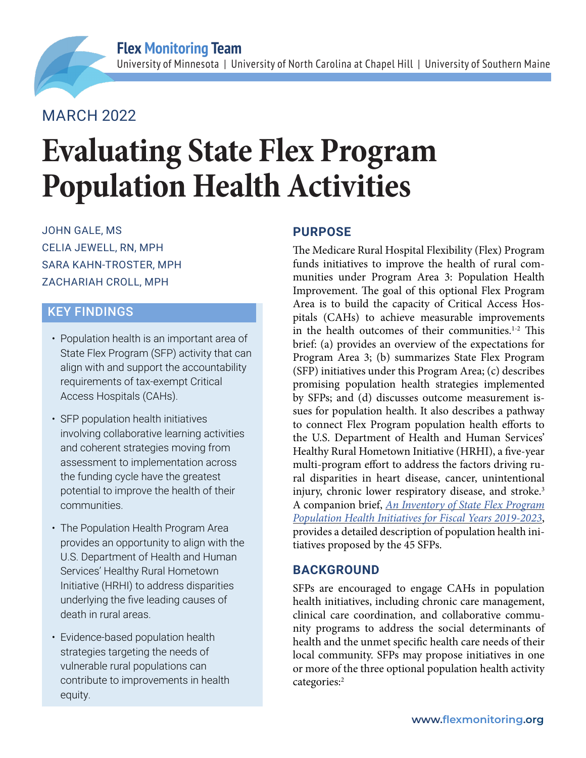# MARCH 2022

# **Evaluating State Flex Program Population Health Activities**

JOHN GALE, MS CELIA JEWELL, RN, MPH SARA KAHN-TROSTER, MPH ZACHARIAH CROLL, MPH

# KEY FINDINGS

- Population health is an important area of State Flex Program (SFP) activity that can align with and support the accountability requirements of tax-exempt Critical Access Hospitals (CAHs).
- SFP population health initiatives involving collaborative learning activities and coherent strategies moving from assessment to implementation across the funding cycle have the greatest potential to improve the health of their communities.
- The Population Health Program Area provides an opportunity to align with the U.S. Department of Health and Human Services' Healthy Rural Hometown Initiative (HRHI) to address disparities underlying the five leading causes of death in rural areas.
- Evidence-based population health strategies targeting the needs of vulnerable rural populations can contribute to improvements in health equity.

## **PURPOSE**

The Medicare Rural Hospital Flexibility (Flex) Program funds initiatives to improve the health of rural communities under Program Area 3: Population Health Improvement. The goal of this optional Flex Program Area is to build the capacity of Critical Access Hospitals (CAHs) to achieve measurable improvements in the health outcomes of their communities.<sup>1-2</sup> This brief: (a) provides an overview of the expectations for Program Area 3; (b) summarizes State Flex Program (SFP) initiatives under this Program Area; (c) describes promising population health strategies implemented by SFPs; and (d) discusses outcome measurement issues for population health. It also describes a pathway to connect Flex Program population health efforts to the U.S. Department of Health and Human Services' Healthy Rural Hometown Initiative (HRHI), a five-year multi-program effort to address the factors driving rural disparities in heart disease, cancer, unintentional injury, chronic lower respiratory disease, and stroke.<sup>3</sup> A companion brief, *[An Inventory of State Flex Program](https://www.flexmonitoring.org/publication/inventory-state-flex-program-population-health-initiatives-fiscal-years-2019-2023) [Population Health Initiatives for Fiscal Years 2019-2023](https://www.flexmonitoring.org/publication/inventory-state-flex-program-population-health-initiatives-fiscal-years-2019-2023)*, provides a detailed description of population health initiatives proposed by the 45 SFPs.

#### **BACKGROUND**

SFPs are encouraged to engage CAHs in population health initiatives, including chronic care management, clinical care coordination, and collaborative community programs to address the social determinants of health and the unmet specific health care needs of their local community. SFPs may propose initiatives in one or more of the three optional population health activity categories:2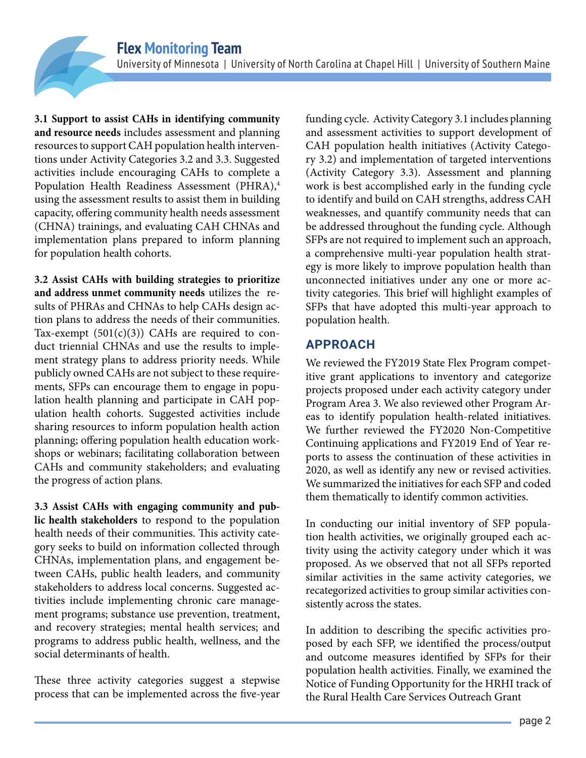**3.1 Support to assist CAHs in identifying community and resource needs** includes assessment and planning resources to support CAH population health interventions under Activity Categories 3.2 and 3.3. Suggested activities include encouraging CAHs to complete a Population Health Readiness Assessment (PHRA),<sup>4</sup> using the assessment results to assist them in building capacity, offering community health needs assessment (CHNA) trainings, and evaluating CAH CHNAs and implementation plans prepared to inform planning for population health cohorts.

**3.2 Assist CAHs with building strategies to prioritize and address unmet community needs** utilizes the results of PHRAs and CHNAs to help CAHs design action plans to address the needs of their communities. Tax-exempt  $(501(c)(3))$  CAHs are required to conduct triennial CHNAs and use the results to implement strategy plans to address priority needs. While publicly owned CAHs are not subject to these requirements, SFPs can encourage them to engage in population health planning and participate in CAH population health cohorts. Suggested activities include sharing resources to inform population health action planning; offering population health education workshops or webinars; facilitating collaboration between CAHs and community stakeholders; and evaluating the progress of action plans.

**3.3 Assist CAHs with engaging community and public health stakeholders** to respond to the population health needs of their communities. This activity category seeks to build on information collected through CHNAs, implementation plans, and engagement between CAHs, public health leaders, and community stakeholders to address local concerns. Suggested activities include implementing chronic care management programs; substance use prevention, treatment, and recovery strategies; mental health services; and programs to address public health, wellness, and the social determinants of health.

These three activity categories suggest a stepwise process that can be implemented across the five-year funding cycle. Activity Category 3.1 includes planning and assessment activities to support development of CAH population health initiatives (Activity Category 3.2) and implementation of targeted interventions (Activity Category 3.3). Assessment and planning work is best accomplished early in the funding cycle to identify and build on CAH strengths, address CAH weaknesses, and quantify community needs that can be addressed throughout the funding cycle. Although SFPs are not required to implement such an approach, a comprehensive multi-year population health strategy is more likely to improve population health than unconnected initiatives under any one or more activity categories. This brief will highlight examples of SFPs that have adopted this multi-year approach to population health.

# **APPROACH**

We reviewed the FY2019 State Flex Program competitive grant applications to inventory and categorize projects proposed under each activity category under Program Area 3. We also reviewed other Program Areas to identify population health-related initiatives. We further reviewed the FY2020 Non-Competitive Continuing applications and FY2019 End of Year reports to assess the continuation of these activities in 2020, as well as identify any new or revised activities. We summarized the initiatives for each SFP and coded them thematically to identify common activities.

In conducting our initial inventory of SFP population health activities, we originally grouped each activity using the activity category under which it was proposed. As we observed that not all SFPs reported similar activities in the same activity categories, we recategorized activities to group similar activities consistently across the states.

In addition to describing the specific activities proposed by each SFP, we identified the process/output and outcome measures identified by SFPs for their population health activities. Finally, we examined the Notice of Funding Opportunity for the HRHI track of the Rural Health Care Services Outreach Grant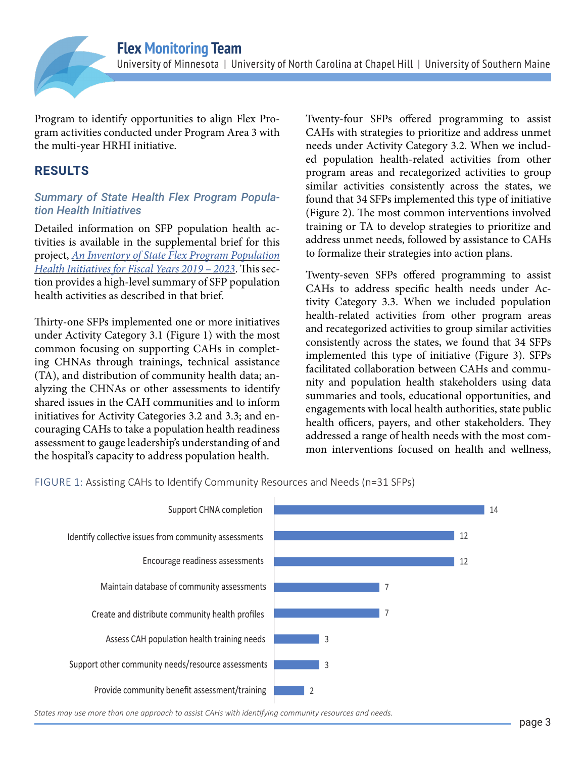

Program to identify opportunities to align Flex Program activities conducted under Program Area 3 with the multi-year HRHI initiative.

## **RESULTS**

#### *Summary of State Health Flex Program Population Health Initiatives*

Detailed information on SFP population health activities is available in the supplemental brief for this project, *An [Inventory of State Flex Program Population](https://www.flexmonitoring.org/publication/inventory-state-flex-program-population-health-initiatives-fiscal-years-2019-2023) [Health Initiatives for Fiscal Years 2019 – 2023](https://www.flexmonitoring.org/publication/inventory-state-flex-program-population-health-initiatives-fiscal-years-2019-2023)*. This section provides a high-level summary of SFP population health activities as described in that brief.

Thirty-one SFPs implemented one or more initiatives under Activity Category 3.1 (Figure 1) with the most common focusing on supporting CAHs in completing CHNAs through trainings, technical assistance (TA), and distribution of community health data; analyzing the CHNAs or other assessments to identify shared issues in the CAH communities and to inform initiatives for Activity Categories 3.2 and 3.3; and encouraging CAHs to take a population health readiness assessment to gauge leadership's understanding of and the hospital's capacity to address population health.

Twenty-four SFPs offered programming to assist CAHs with strategies to prioritize and address unmet needs under Activity Category 3.2. When we included population health-related activities from other program areas and recategorized activities to group similar activities consistently across the states, we found that 34 SFPs implemented this type of initiative (Figure 2). The most common interventions involved training or TA to develop strategies to prioritize and address unmet needs, followed by assistance to CAHs to formalize their strategies into action plans.

Twenty-seven SFPs offered programming to assist CAHs to address specific health needs under Activity Category 3.3. When we included population health-related activities from other program areas and recategorized activities to group similar activities consistently across the states, we found that 34 SFPs implemented this type of initiative (Figure 3). SFPs facilitated collaboration between CAHs and community and population health stakeholders using data summaries and tools, educational opportunities, and engagements with local health authorities, state public health officers, payers, and other stakeholders. They addressed a range of health needs with the most common interventions focused on health and wellness,

FIGURE 1: Assisting CAHs to Identify Community Resources and Needs (n=31 SFPs)



*States may use more than one approach to assist CAHs with identifying community resources and needs.*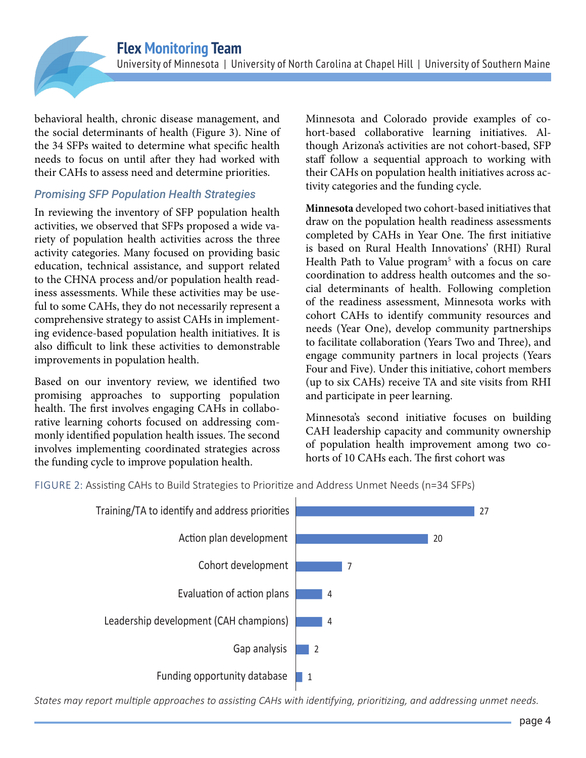behavioral health, chronic disease management, and the social determinants of health (Figure 3). Nine of the 34 SFPs waited to determine what specific health needs to focus on until after they had worked with their CAHs to assess need and determine priorities.

#### *Promising SFP Population Health Strategies*

In reviewing the inventory of SFP population health activities, we observed that SFPs proposed a wide variety of population health activities across the three activity categories. Many focused on providing basic education, technical assistance, and support related to the CHNA process and/or population health readiness assessments. While these activities may be useful to some CAHs, they do not necessarily represent a comprehensive strategy to assist CAHs in implementing evidence-based population health initiatives. It is also difficult to link these activities to demonstrable improvements in population health.

Based on our inventory review, we identified two promising approaches to supporting population health. The first involves engaging CAHs in collaborative learning cohorts focused on addressing commonly identified population health issues. The second involves implementing coordinated strategies across the funding cycle to improve population health.

Minnesota and Colorado provide examples of cohort-based collaborative learning initiatives. Although Arizona's activities are not cohort-based, SFP staff follow a sequential approach to working with their CAHs on population health initiatives across activity categories and the funding cycle.

**Minnesota** developed two cohort-based initiatives that draw on the population health readiness assessments completed by CAHs in Year One. The first initiative is based on Rural Health Innovations' (RHI) Rural Health Path to Value program<sup>5</sup> with a focus on care coordination to address health outcomes and the social determinants of health. Following completion of the readiness assessment, Minnesota works with cohort CAHs to identify community resources and needs (Year One), develop community partnerships to facilitate collaboration (Years Two and Three), and engage community partners in local projects (Years Four and Five). Under this initiative, cohort members (up to six CAHs) receive TA and site visits from RHI and participate in peer learning.

Minnesota's second initiative focuses on building CAH leadership capacity and community ownership of population health improvement among two cohorts of 10 CAHs each. The first cohort was

FIGURE 2: Assisting CAHs to Build Strategies to Prioritize and Address Unmet Needs (n=34 SFPs)



*States may report multiple approaches to assisting CAHs with identifying, prioritizing, and addressing unmet needs.*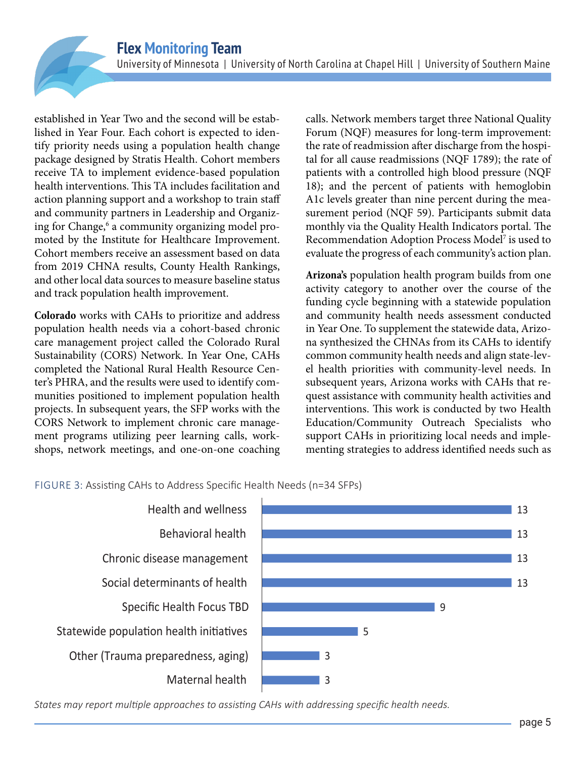established in Year Two and the second will be established in Year Four. Each cohort is expected to identify priority needs using a population health change package designed by Stratis Health. Cohort members receive TA to implement evidence-based population health interventions. This TA includes facilitation and action planning support and a workshop to train staff and community partners in Leadership and Organizing for Change,<sup>6</sup> a community organizing model promoted by the Institute for Healthcare Improvement. Cohort members receive an assessment based on data from 2019 CHNA results, County Health Rankings, and other local data sources to measure baseline status and track population health improvement.

**Colorado** works with CAHs to prioritize and address population health needs via a cohort-based chronic care management project called the Colorado Rural Sustainability (CORS) Network. In Year One, CAHs completed the National Rural Health Resource Center's PHRA, and the results were used to identify communities positioned to implement population health projects. In subsequent years, the SFP works with the CORS Network to implement chronic care management programs utilizing peer learning calls, workshops, network meetings, and one-on-one coaching

calls. Network members target three National Quality Forum (NQF) measures for long-term improvement: the rate of readmission after discharge from the hospital for all cause readmissions (NQF 1789); the rate of patients with a controlled high blood pressure (NQF 18); and the percent of patients with hemoglobin A1c levels greater than nine percent during the measurement period (NQF 59). Participants submit data monthly via the Quality Health Indicators portal. The Recommendation Adoption Process Model<sup>7</sup> is used to evaluate the progress of each community's action plan.

**Arizona's** population health program builds from one activity category to another over the course of the funding cycle beginning with a statewide population and community health needs assessment conducted in Year One. To supplement the statewide data, Arizona synthesized the CHNAs from its CAHs to identify common community health needs and align state-level health priorities with community-level needs. In subsequent years, Arizona works with CAHs that request assistance with community health activities and interventions. This work is conducted by two Health Education/Community Outreach Specialists who support CAHs in prioritizing local needs and implementing strategies to address identified needs such as

FIGURE 3: Assisting CAHs to Address Specific Health Needs (n=34 SFPs)



*States may report multiple approaches to assisting CAHs with addressing specific health needs.*

 $|13$ 

13

13

| 13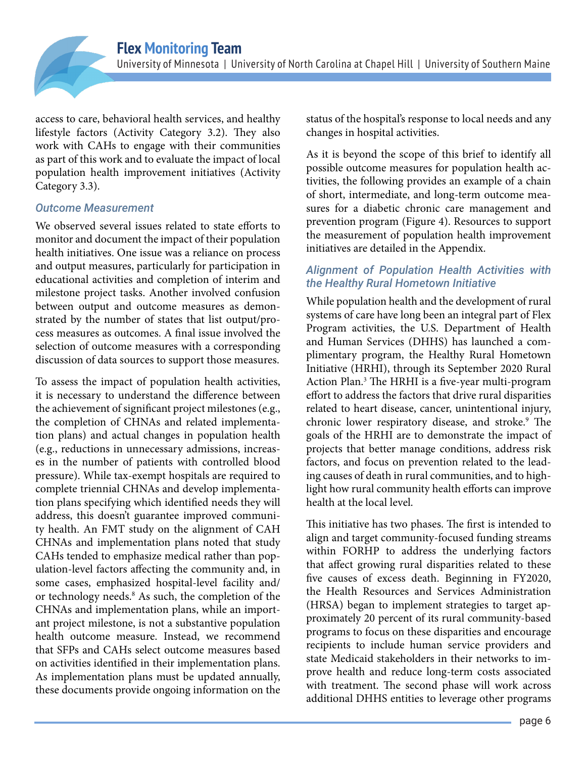access to care, behavioral health services, and healthy lifestyle factors (Activity Category 3.2). They also work with CAHs to engage with their communities as part of this work and to evaluate the impact of local population health improvement initiatives (Activity Category 3.3).

#### *Outcome Measurement*

We observed several issues related to state efforts to monitor and document the impact of their population health initiatives. One issue was a reliance on process and output measures, particularly for participation in educational activities and completion of interim and milestone project tasks. Another involved confusion between output and outcome measures as demonstrated by the number of states that list output/process measures as outcomes. A final issue involved the selection of outcome measures with a corresponding discussion of data sources to support those measures.

To assess the impact of population health activities, it is necessary to understand the difference between the achievement of significant project milestones (e.g., the completion of CHNAs and related implementation plans) and actual changes in population health (e.g., reductions in unnecessary admissions, increases in the number of patients with controlled blood pressure). While tax-exempt hospitals are required to complete triennial CHNAs and develop implementation plans specifying which identified needs they will address, this doesn't guarantee improved community health. An FMT study on the alignment of CAH CHNAs and implementation plans noted that study CAHs tended to emphasize medical rather than population-level factors affecting the community and, in some cases, emphasized hospital-level facility and/ or technology needs.<sup>8</sup> As such, the completion of the CHNAs and implementation plans, while an important project milestone, is not a substantive population health outcome measure. Instead, we recommend that SFPs and CAHs select outcome measures based on activities identified in their implementation plans. As implementation plans must be updated annually, these documents provide ongoing information on the

status of the hospital's response to local needs and any changes in hospital activities.

As it is beyond the scope of this brief to identify all possible outcome measures for population health activities, the following provides an example of a chain of short, intermediate, and long-term outcome measures for a diabetic chronic care management and prevention program (Figure 4). Resources to support the measurement of population health improvement initiatives are detailed in the Appendix.

#### *Alignment of Population Health Activities with the Healthy Rural Hometown Initiative*

While population health and the development of rural systems of care have long been an integral part of Flex Program activities, the U.S. Department of Health and Human Services (DHHS) has launched a complimentary program, the Healthy Rural Hometown Initiative (HRHI), through its September 2020 Rural Action Plan.3 The HRHI is a five-year multi-program effort to address the factors that drive rural disparities related to heart disease, cancer, unintentional injury, chronic lower respiratory disease, and stroke.<sup>9</sup> The goals of the HRHI are to demonstrate the impact of projects that better manage conditions, address risk factors, and focus on prevention related to the leading causes of death in rural communities, and to highlight how rural community health efforts can improve health at the local level.

This initiative has two phases. The first is intended to align and target community-focused funding streams within FORHP to address the underlying factors that affect growing rural disparities related to these five causes of excess death. Beginning in FY2020, the Health Resources and Services Administration (HRSA) began to implement strategies to target approximately 20 percent of its rural community-based programs to focus on these disparities and encourage recipients to include human service providers and state Medicaid stakeholders in their networks to improve health and reduce long-term costs associated with treatment. The second phase will work across additional DHHS entities to leverage other programs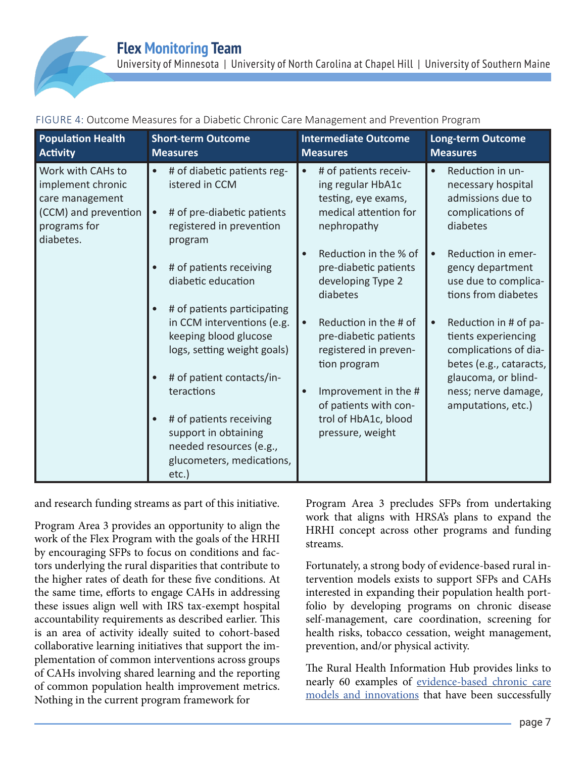| <b>Population Health</b><br><b>Activity</b>                                                                    | <b>Short-term Outcome</b><br><b>Measures</b>                                                                                                                   | <b>Intermediate Outcome</b><br><b>Measures</b>                                                                                         | <b>Long-term Outcome</b><br><b>Measures</b>                                                                             |
|----------------------------------------------------------------------------------------------------------------|----------------------------------------------------------------------------------------------------------------------------------------------------------------|----------------------------------------------------------------------------------------------------------------------------------------|-------------------------------------------------------------------------------------------------------------------------|
| Work with CAHs to<br>implement chronic<br>care management<br>(CCM) and prevention<br>programs for<br>diabetes. | # of diabetic patients reg-<br>$\bullet$<br>istered in CCM<br># of pre-diabetic patients<br>$\bullet$<br>registered in prevention<br>program                   | # of patients receiv-<br>ing regular HbA1c<br>testing, eye exams,<br>medical attention for<br>nephropathy                              | Reduction in un-<br>necessary hospital<br>admissions due to<br>complications of<br>diabetes                             |
|                                                                                                                | # of patients receiving<br>diabetic education<br># of patients participating<br>$\bullet$                                                                      | Reduction in the % of<br>pre-diabetic patients<br>developing Type 2<br>diabetes                                                        | Reduction in emer-<br>$\bullet$<br>gency department<br>use due to complica-<br>tions from diabetes                      |
|                                                                                                                | in CCM interventions (e.g.<br>keeping blood glucose<br>logs, setting weight goals)                                                                             | Reduction in the # of<br>pre-diabetic patients<br>registered in preven-<br>tion program                                                | Reduction in # of pa-<br>tients experiencing<br>complications of dia-<br>betes (e.g., cataracts,<br>glaucoma, or blind- |
|                                                                                                                | # of patient contacts/in-<br>teractions<br># of patients receiving<br>support in obtaining<br>needed resources (e.g.,<br>glucometers, medications,<br>$etc.$ ) | Improvement in the #<br>ness; nerve damage,<br>of patients with con-<br>amputations, etc.)<br>trol of HbA1c, blood<br>pressure, weight |                                                                                                                         |

FIGURE 4: Outcome Measures for a Diabetic Chronic Care Management and Prevention Program

and research funding streams as part of this initiative.

Program Area 3 provides an opportunity to align the work of the Flex Program with the goals of the HRHI by encouraging SFPs to focus on conditions and factors underlying the rural disparities that contribute to the higher rates of death for these five conditions. At the same time, efforts to engage CAHs in addressing these issues align well with IRS tax-exempt hospital accountability requirements as described earlier. This is an area of activity ideally suited to cohort-based collaborative learning initiatives that support the implementation of common interventions across groups of CAHs involving shared learning and the reporting of common population health improvement metrics. Nothing in the current program framework for

Program Area 3 precludes SFPs from undertaking work that aligns with HRSA's plans to expand the HRHI concept across other programs and funding streams.

Fortunately, a strong body of evidence-based rural intervention models exists to support SFPs and CAHs interested in expanding their population health portfolio by developing programs on chronic disease self-management, care coordination, screening for health risks, tobacco cessation, weight management, prevention, and/or physical activity.

The Rural Health Information Hub provides links to nearly 60 examples of [evidence-based chronic care](https://www.ruralhealthinfo.org/topics/chronic-disease/project-examples)  [models and innovations](https://www.ruralhealthinfo.org/topics/chronic-disease/project-examples) that have been successfully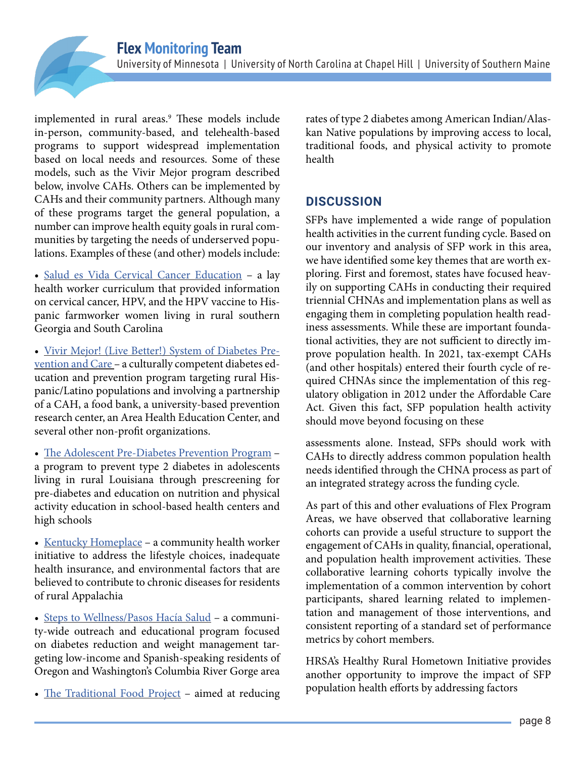implemented in rural areas.<sup>9</sup> These models include in-person, community-based, and telehealth-based programs to support widespread implementation based on local needs and resources. Some of these models, such as the Vivir Mejor program described below, involve CAHs. Others can be implemented by CAHs and their community partners. Although many of these programs target the general population, a number can improve health equity goals in rural communities by targeting the needs of underserved populations. Examples of these (and other) models include:

- [Salud es Vida Cervical Cancer Education](https://www.ruralhealthinfo.org/project-examples/879)  a lay health worker curriculum that provided information on cervical cancer, HPV, and the HPV vaccine to Hispanic farmworker women living in rural southern Georgia and South Carolina
- [Vivir Mejor! \(Live Better!\) System of Diabetes Pre](https://www.ruralhealthinfo.org/project-examples/820)[vention and Care](https://www.ruralhealthinfo.org/project-examples/820) – a culturally competent diabetes education and prevention program targeting rural Hispanic/Latino populations and involving a partnership of a CAH, a food bank, a university-based prevention research center, an Area Health Education Center, and several other non-profit organizations.
- [The Adolescent Pre-Diabetes Prevention Program](https://www.ruralhealthinfo.org/project-examples/1038)  a program to prevent type 2 diabetes in adolescents living in rural Louisiana through prescreening for pre-diabetes and education on nutrition and physical activity education in school-based health centers and high schools
- [Kentucky Homeplace](https://www.ruralhealthinfo.org/project-examples/785)  a community health worker initiative to address the lifestyle choices, inadequate health insurance, and environmental factors that are believed to contribute to chronic diseases for residents of rural Appalachia
- [Steps to Wellness/Pasos Hacía Salud](https://www.ruralhealthinfo.org/project-examples/799)  a community-wide outreach and educational program focused on diabetes reduction and weight management targeting low-income and Spanish-speaking residents of Oregon and Washington's Columbia River Gorge area
- [The Traditional Food Project](https://www.cdc.gov/diabetes/ndwp/traditional-foods/index.html)  aimed at reducing

rates of type 2 diabetes among American Indian/Alaskan Native populations by improving access to local, traditional foods, and physical activity to promote health

# **DISCUSSION**

SFPs have implemented a wide range of population health activities in the current funding cycle. Based on our inventory and analysis of SFP work in this area, we have identified some key themes that are worth exploring. First and foremost, states have focused heavily on supporting CAHs in conducting their required triennial CHNAs and implementation plans as well as engaging them in completing population health readiness assessments. While these are important foundational activities, they are not sufficient to directly improve population health. In 2021, tax-exempt CAHs (and other hospitals) entered their fourth cycle of required CHNAs since the implementation of this regulatory obligation in 2012 under the Affordable Care Act. Given this fact, SFP population health activity should move beyond focusing on these

assessments alone. Instead, SFPs should work with CAHs to directly address common population health needs identified through the CHNA process as part of an integrated strategy across the funding cycle.

As part of this and other evaluations of Flex Program Areas, we have observed that collaborative learning cohorts can provide a useful structure to support the engagement of CAHs in quality, financial, operational, and population health improvement activities. These collaborative learning cohorts typically involve the implementation of a common intervention by cohort participants, shared learning related to implementation and management of those interventions, and consistent reporting of a standard set of performance metrics by cohort members.

HRSA's Healthy Rural Hometown Initiative provides another opportunity to improve the impact of SFP population health efforts by addressing factors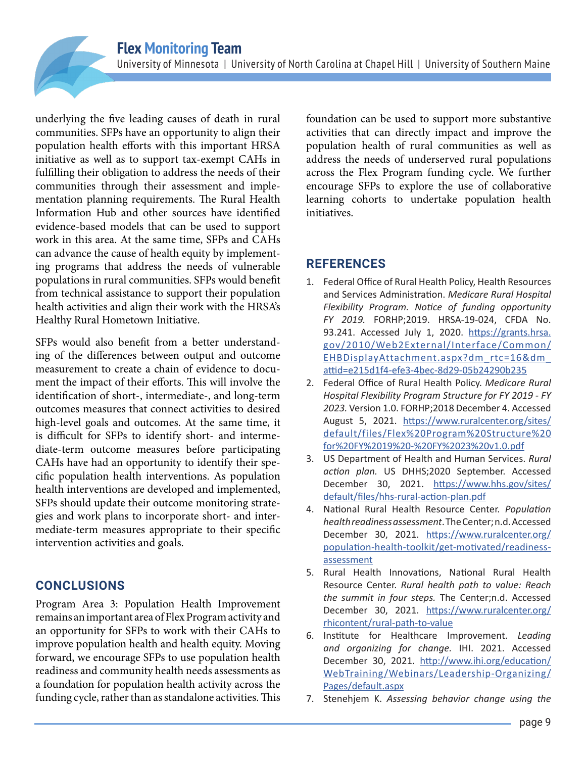underlying the five leading causes of death in rural communities. SFPs have an opportunity to align their population health efforts with this important HRSA initiative as well as to support tax-exempt CAHs in fulfilling their obligation to address the needs of their communities through their assessment and implementation planning requirements. The Rural Health Information Hub and other sources have identified evidence-based models that can be used to support work in this area. At the same time, SFPs and CAHs can advance the cause of health equity by implementing programs that address the needs of vulnerable populations in rural communities. SFPs would benefit from technical assistance to support their population health activities and align their work with the HRSA's Healthy Rural Hometown Initiative.

SFPs would also benefit from a better understanding of the differences between output and outcome measurement to create a chain of evidence to document the impact of their efforts. This will involve the identification of short-, intermediate-, and long-term outcomes measures that connect activities to desired high-level goals and outcomes. At the same time, it is difficult for SFPs to identify short- and intermediate-term outcome measures before participating CAHs have had an opportunity to identify their specific population health interventions. As population health interventions are developed and implemented, SFPs should update their outcome monitoring strategies and work plans to incorporate short- and intermediate-term measures appropriate to their specific intervention activities and goals.

## **CONCLUSIONS**

Program Area 3: Population Health Improvement remains an important area of Flex Program activity and an opportunity for SFPs to work with their CAHs to improve population health and health equity. Moving forward, we encourage SFPs to use population health readiness and community health needs assessments as a foundation for population health activity across the funding cycle, rather than as standalone activities. This

foundation can be used to support more substantive activities that can directly impact and improve the population health of rural communities as well as address the needs of underserved rural populations across the Flex Program funding cycle. We further encourage SFPs to explore the use of collaborative learning cohorts to undertake population health initiatives.

# **REFERENCES**

- 1. Federal Office of Rural Health Policy, Health Resources and Services Administration. *Medicare Rural Hospital Flexibility Program. Notice of funding opportunity FY 2019.* FORHP;2019. HRSA-19-024, CFDA No. 93.241. Accessed July 1, 2020. [https://grants.hrsa.](https://grants.hrsa.gov/2010/Web2External/Interface/Common/EHBDisplayAttachment.aspx?dm_rtc=16&dm_attid=e215d1f4-efe3-4bec-8d29-05b24290b235 ) [gov/2010/Web2External/Interface/Common/](https://grants.hrsa.gov/2010/Web2External/Interface/Common/EHBDisplayAttachment.aspx?dm_rtc=16&dm_attid=e215d1f4-efe3-4bec-8d29-05b24290b235 ) [EHBDisplayAttachment.aspx?dm\\_rtc=16&dm\\_](https://grants.hrsa.gov/2010/Web2External/Interface/Common/EHBDisplayAttachment.aspx?dm_rtc=16&dm_attid=e215d1f4-efe3-4bec-8d29-05b24290b235 ) [attid=e215d1f4-efe3-4bec-8d29-05b24290b235](https://grants.hrsa.gov/2010/Web2External/Interface/Common/EHBDisplayAttachment.aspx?dm_rtc=16&dm_attid=e215d1f4-efe3-4bec-8d29-05b24290b235 )
- 2. Federal Office of Rural Health Policy. *Medicare Rural Hospital Flexibility Program Structure for FY 2019 - FY 2023.* Version 1.0. FORHP;2018 December 4. Accessed August 5, 2021. [https://www.ruralcenter.org/sites/](https://www.ruralcenter.org/sites/default/files/Flex%20Program%20Structure%20for%20FY%2019%20-%20FY%2023%20v1.0.pdf) [default/files/Flex%20Program%20Structure%20](https://www.ruralcenter.org/sites/default/files/Flex%20Program%20Structure%20for%20FY%2019%20-%20FY%2023%20v1.0.pdf) [for%20FY%2019%20-%20FY%2023%20v1.0.pdf](https://www.ruralcenter.org/sites/default/files/Flex%20Program%20Structure%20for%20FY%2019%20-%20FY%2023%20v1.0.pdf)
- 3. US Department of Health and Human Services. *Rural action plan.* US DHHS;2020 September. Accessed December 30, 2021. [https://www.hhs.gov/sites/](https://www.hhs.gov/sites/default/files/hhs-rural-action-plan.pdf ) [default/files/hhs-rural-action-plan.pdf](https://www.hhs.gov/sites/default/files/hhs-rural-action-plan.pdf )
- 4. National Rural Health Resource Center. *Population health readiness assessment*. The Center; n.d. Accessed December 30, 2021. [https://www.ruralcenter.org/](https://www.ruralcenter.org/population-health-toolkit/get-motivated/readiness-assessment ) [population-health-toolkit/get-motivated/readiness](https://www.ruralcenter.org/population-health-toolkit/get-motivated/readiness-assessment )[assessment](https://www.ruralcenter.org/population-health-toolkit/get-motivated/readiness-assessment )
- 5. Rural Health Innovations, National Rural Health Resource Center. *Rural health path to value: Reach the summit in four steps.* The Center;n.d. Accessed December 30, 2021. [https://www.ruralcenter.org/](https://www.ruralcenter.org/rhicontent/rural-path-to-value ) [rhicontent/rural-path-to-value](https://www.ruralcenter.org/rhicontent/rural-path-to-value )
- 6. Institute for Healthcare Improvement. *Leading and organizing for change.* IHI. 2021. Accessed December 30, 2021. [http://www.ihi.org/education/](http://www.ihi.org/education/WebTraining/Webinars/Leadership-Organizing/Pages/default.aspx) [WebTraining/Webinars/Leadership-Organizing/](http://www.ihi.org/education/WebTraining/Webinars/Leadership-Organizing/Pages/default.aspx) [Pages/default.aspx](http://www.ihi.org/education/WebTraining/Webinars/Leadership-Organizing/Pages/default.aspx)
- 7. Stenehjem K. *Assessing behavior change using the*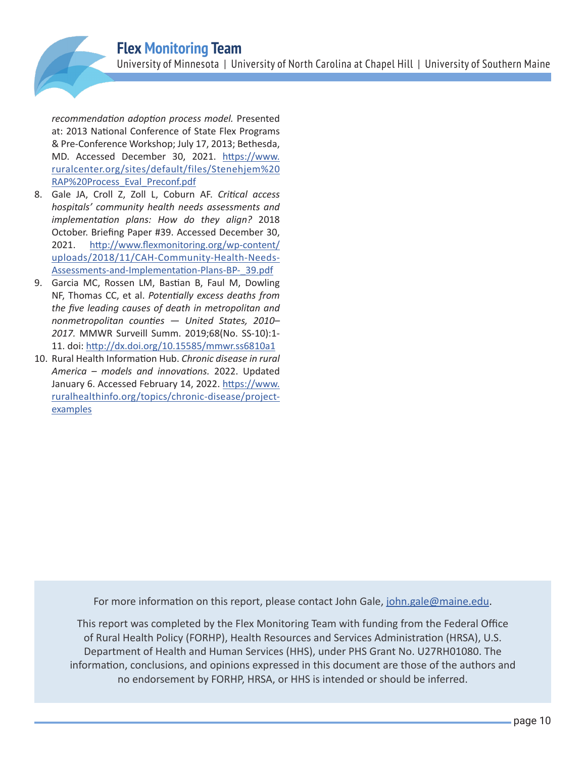*recommendation adoption process model.* Presented at: 2013 National Conference of State Flex Programs & Pre-Conference Workshop; July 17, 2013; Bethesda, MD. Accessed December 30, 2021. [https://www.](https://www.ruralcenter.org/sites/default/files/Stenehjem%20RAP%20Process_Eval_Preconf.pdf) [ruralcenter.org/sites/default/files/Stenehjem%20](https://www.ruralcenter.org/sites/default/files/Stenehjem%20RAP%20Process_Eval_Preconf.pdf) [RAP%20Process\\_Eval\\_Preconf.pdf](https://www.ruralcenter.org/sites/default/files/Stenehjem%20RAP%20Process_Eval_Preconf.pdf)

- 8. Gale JA, Croll Z, Zoll L, Coburn AF. *Critical access hospitals' community health needs assessments and implementation plans: How do they align?* 2018 October. Briefing Paper #39. Accessed December 30, 2021. [http://www.flexmonitoring.org/wp-content/](http://www.flexmonitoring.org/wp-content/uploads/2018/11/CAH-Community-Health-Needs-Assessments-and-Implementation-Plans-BP-_39.pdf) [uploads/2018/11/CAH-Community-Health-Needs-](http://www.flexmonitoring.org/wp-content/uploads/2018/11/CAH-Community-Health-Needs-Assessments-and-Implementation-Plans-BP-_39.pdf)[Assessments-and-Implementation-Plans-BP-\\_39.pdf](http://www.flexmonitoring.org/wp-content/uploads/2018/11/CAH-Community-Health-Needs-Assessments-and-Implementation-Plans-BP-_39.pdf)
- 9. Garcia MC, Rossen LM, Bastian B, Faul M, Dowling NF, Thomas CC, et al. *Potentially excess deaths from the five leading causes of death in metropolitan and nonmetropolitan counties — United States, 2010– 2017.* MMWR Surveill Summ. 2019;68(No. SS-10):1- 11. doi: [http://dx.doi.org/10.15585/mmwr.ss6810a1](http://dx.doi.org/10.15585/mmwr.ss6810a1 )
- 10. Rural Health Information Hub. *Chronic disease in rural America – models and innovations.* 2022. Updated January 6. Accessed February 14, 2022. [https://www.](https://www.ruralhealthinfo.org/topics/chronic-disease/project-examples ) [ruralhealthinfo.org/topics/chronic-disease/project](https://www.ruralhealthinfo.org/topics/chronic-disease/project-examples )[examples](https://www.ruralhealthinfo.org/topics/chronic-disease/project-examples )

For more information on this report, please contact John Gale, john.gale@maine.edu.

This report was completed by the Flex Monitoring Team with funding from the Federal Office of Rural Health Policy (FORHP), Health Resources and Services Administration (HRSA), U.S. Department of Health and Human Services (HHS), under PHS Grant No. U27RH01080. The information, conclusions, and opinions expressed in this document are those of the authors and no endorsement by FORHP, HRSA, or HHS is intended or should be inferred.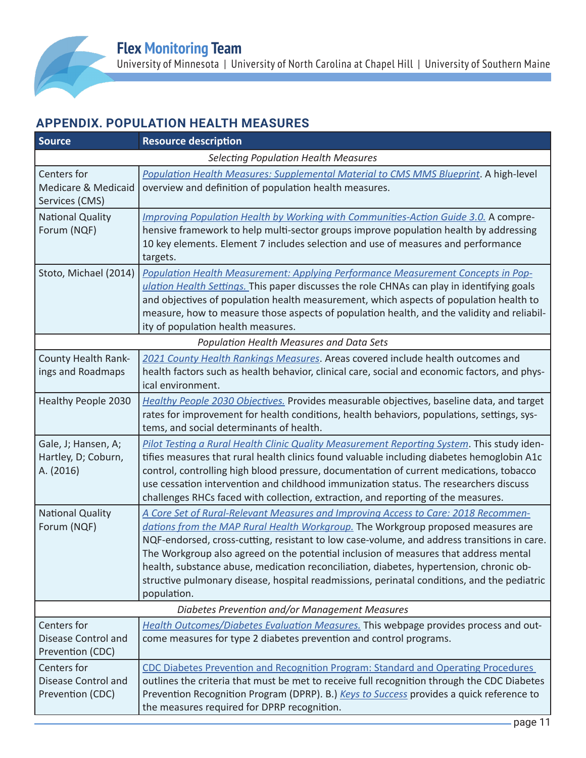# **APPENDIX. POPULATION HEALTH MEASURES**

| <b>Source</b>                                                 | <b>Resource description</b>                                                                                                                                                                                                                                                                                                                                                                                                                                                                                                                                            |  |  |
|---------------------------------------------------------------|------------------------------------------------------------------------------------------------------------------------------------------------------------------------------------------------------------------------------------------------------------------------------------------------------------------------------------------------------------------------------------------------------------------------------------------------------------------------------------------------------------------------------------------------------------------------|--|--|
| <b>Selecting Population Health Measures</b>                   |                                                                                                                                                                                                                                                                                                                                                                                                                                                                                                                                                                        |  |  |
| Centers for<br>Medicare & Medicaid<br>Services (CMS)          | Population Health Measures: Supplemental Material to CMS MMS Blueprint. A high-level<br>overview and definition of population health measures.                                                                                                                                                                                                                                                                                                                                                                                                                         |  |  |
| <b>National Quality</b><br>Forum (NQF)                        | Improving Population Health by Working with Communities-Action Guide 3.0. A compre-<br>hensive framework to help multi-sector groups improve population health by addressing<br>10 key elements. Element 7 includes selection and use of measures and performance<br>targets.                                                                                                                                                                                                                                                                                          |  |  |
| Stoto, Michael (2014)                                         | Population Health Measurement: Applying Performance Measurement Concepts in Pop-<br>ulation Health Settings. This paper discusses the role CHNAs can play in identifying goals<br>and objectives of population health measurement, which aspects of population health to<br>measure, how to measure those aspects of population health, and the validity and reliabil-<br>ity of population health measures.                                                                                                                                                           |  |  |
| <b>Population Health Measures and Data Sets</b>               |                                                                                                                                                                                                                                                                                                                                                                                                                                                                                                                                                                        |  |  |
| County Health Rank-<br>ings and Roadmaps                      | 2021 County Health Rankings Measures. Areas covered include health outcomes and<br>health factors such as health behavior, clinical care, social and economic factors, and phys-<br>ical environment.                                                                                                                                                                                                                                                                                                                                                                  |  |  |
| Healthy People 2030                                           | Healthy People 2030 Objectives. Provides measurable objectives, baseline data, and target<br>rates for improvement for health conditions, health behaviors, populations, settings, sys-<br>tems, and social determinants of health.                                                                                                                                                                                                                                                                                                                                    |  |  |
| Gale, J; Hansen, A;<br>Hartley, D; Coburn,<br>A. (2016)       | Pilot Testing a Rural Health Clinic Quality Measurement Reporting System. This study iden-<br>tifies measures that rural health clinics found valuable including diabetes hemoglobin A1c<br>control, controlling high blood pressure, documentation of current medications, tobacco<br>use cessation intervention and childhood immunization status. The researchers discuss<br>challenges RHCs faced with collection, extraction, and reporting of the measures.                                                                                                      |  |  |
| <b>National Quality</b><br>Forum (NQF)                        | A Core Set of Rural-Relevant Measures and Improving Access to Care: 2018 Recommen-<br>dations from the MAP Rural Health Workgroup. The Workgroup proposed measures are<br>NQF-endorsed, cross-cutting, resistant to low case-volume, and address transitions in care.<br>The Workgroup also agreed on the potential inclusion of measures that address mental<br>health, substance abuse, medication reconciliation, diabetes, hypertension, chronic ob-<br>structive pulmonary disease, hospital readmissions, perinatal conditions, and the pediatric<br>population. |  |  |
| Diabetes Prevention and/or Management Measures                |                                                                                                                                                                                                                                                                                                                                                                                                                                                                                                                                                                        |  |  |
| Centers for<br><b>Disease Control and</b><br>Prevention (CDC) | Health Outcomes/Diabetes Evaluation Measures. This webpage provides process and out-<br>come measures for type 2 diabetes prevention and control programs.                                                                                                                                                                                                                                                                                                                                                                                                             |  |  |
| Centers for<br><b>Disease Control and</b><br>Prevention (CDC) | CDC Diabetes Prevention and Recognition Program: Standard and Operating Procedures<br>outlines the criteria that must be met to receive full recognition through the CDC Diabetes<br>Prevention Recognition Program (DPRP). B.) Keys to Success provides a quick reference to<br>the measures required for DPRP recognition.                                                                                                                                                                                                                                           |  |  |